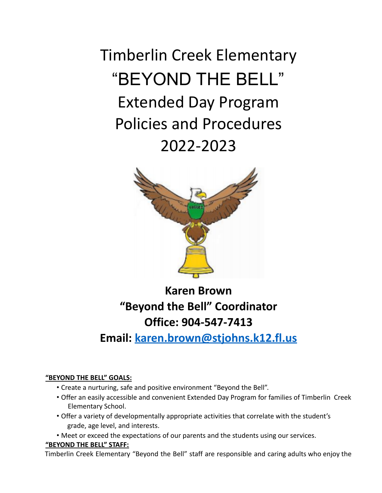Timberlin Creek Elementary "BEYOND THE BELL" Extended Day Program Policies and Procedures 2022-2023



**Karen Brown "Beyond the Bell" Coordinator Office: 904-547-7413**

**Email: karen.brown@stjohns.k12.fl.us**

# **"BEYOND THE BELL" GOALS:**

- Create a nurturing, safe and positive environment "Beyond the Bell".
- Offer an easily accessible and convenient Extended Day Program for families of Timberlin Creek Elementary School.
- Offer a variety of developmentally appropriate activities that correlate with the student's grade, age level, and interests.
- Meet or exceed the expectations of our parents and the students using our services.

# **"BEYOND THE BELL" STAFF:**

Timberlin Creek Elementary "Beyond the Bell" staff are responsible and caring adults who enjoy the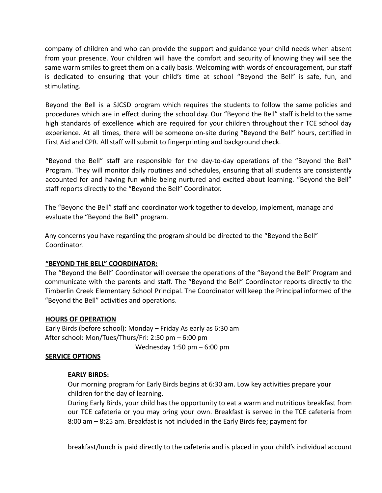company of children and who can provide the support and guidance your child needs when absent from your presence. Your children will have the comfort and security of knowing they will see the same warm smiles to greet them on a daily basis. Welcoming with words of encouragement, our staff is dedicated to ensuring that your child's time at school "Beyond the Bell" is safe, fun, and stimulating.

Beyond the Bell is a SJCSD program which requires the students to follow the same policies and procedures which are in effect during the school day. Our "Beyond the Bell" staff is held to the same high standards of excellence which are required for your children throughout their TCE school day experience. At all times, there will be someone on-site during "Beyond the Bell" hours, certified in First Aid and CPR. All staff will submit to fingerprinting and background check.

"Beyond the Bell" staff are responsible for the day-to-day operations of the "Beyond the Bell" Program. They will monitor daily routines and schedules, ensuring that all students are consistently accounted for and having fun while being nurtured and excited about learning. "Beyond the Bell" staff reports directly to the "Beyond the Bell" Coordinator.

The "Beyond the Bell" staff and coordinator work together to develop, implement, manage and evaluate the "Beyond the Bell" program.

Any concerns you have regarding the program should be directed to the "Beyond the Bell" Coordinator.

# **"BEYOND THE BELL" COORDINATOR:**

The "Beyond the Bell" Coordinator will oversee the operations of the "Beyond the Bell" Program and communicate with the parents and staff. The "Beyond the Bell" Coordinator reports directly to the Timberlin Creek Elementary School Principal. The Coordinator will keep the Principal informed of the "Beyond the Bell" activities and operations.

# **HOURS OF OPERATION**

Early Birds (before school): Monday – Friday As early as 6:30 am After school: Mon/Tues/Thurs/Fri: 2:50 pm – 6:00 pm Wednesday 1:50 pm – 6:00 pm

# **SERVICE OPTIONS**

# **EARLY BIRDS:**

Our morning program for Early Birds begins at 6:30 am. Low key activities prepare your children for the day of learning.

During Early Birds, your child has the opportunity to eat a warm and nutritious breakfast from our TCE cafeteria or you may bring your own. Breakfast is served in the TCE cafeteria from 8:00 am – 8:25 am. Breakfast is not included in the Early Birds fee; payment for

breakfast/lunch is paid directly to the cafeteria and is placed in your child's individual account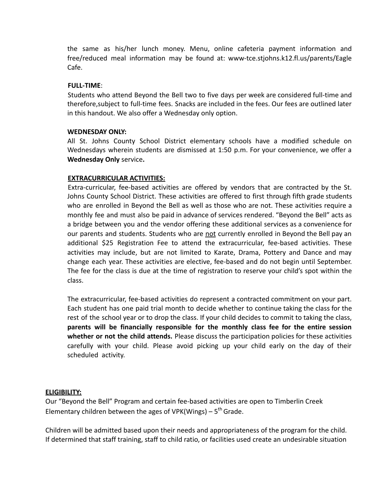the same as his/her lunch money. Menu, online cafeteria payment information and free/reduced meal information may be found at: www-tce.stjohns.k12.fl.us/parents/Eagle Cafe.

# **FULL-TIME**:

Students who attend Beyond the Bell two to five days per week are considered full-time and therefore,subject to full-time fees. Snacks are included in the fees. Our fees are outlined later in this handout. We also offer a Wednesday only option.

# **WEDNESDAY ONLY:**

All St. Johns County School District elementary schools have a modified schedule on Wednesdays wherein students are dismissed at 1:50 p.m. For your convenience, we offer a **Wednesday Only** service**.**

# **EXTRACURRICULAR ACTIVITIES:**

Extra-curricular, fee-based activities are offered by vendors that are contracted by the St. Johns County School District. These activities are offered to first through fifth grade students who are enrolled in Beyond the Bell as well as those who are not. These activities require a monthly fee and must also be paid in advance of services rendered. "Beyond the Bell" acts as a bridge between you and the vendor offering these additional services as a convenience for our parents and students. Students who are not currently enrolled in Beyond the Bell pay an additional \$25 Registration Fee to attend the extracurricular, fee-based activities. These activities may include, but are not limited to Karate, Drama, Pottery and Dance and may change each year. These activities are elective, fee-based and do not begin until September. The fee for the class is due at the time of registration to reserve your child's spot within the class.

The extracurricular, fee-based activities do represent a contracted commitment on your part. Each student has one paid trial month to decide whether to continue taking the class for the rest of the school year or to drop the class. If your child decides to commit to taking the class, **parents will be financially responsible for the monthly class fee for the entire session whether or not the child attends.** Please discuss the participation policies for these activities carefully with your child. Please avoid picking up your child early on the day of their scheduled activity.

# **ELIGIBILITY:**

Our "Beyond the Bell" Program and certain fee-based activities are open to Timberlin Creek Elementary children between the ages of VPK(Wings) –  $5<sup>th</sup>$  Grade.

Children will be admitted based upon their needs and appropriateness of the program for the child. If determined that staff training, staff to child ratio, or facilities used create an undesirable situation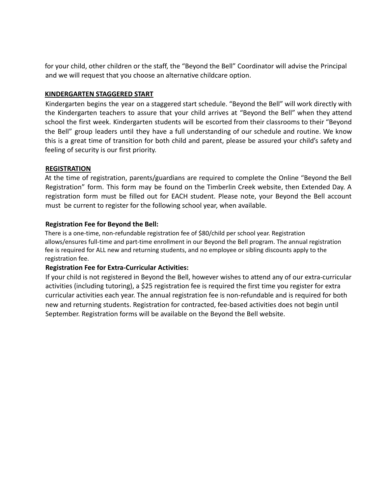for your child, other children or the staff, the "Beyond the Bell" Coordinator will advise the Principal and we will request that you choose an alternative childcare option.

# **KINDERGARTEN STAGGERED START**

Kindergarten begins the year on a staggered start schedule. "Beyond the Bell" will work directly with the Kindergarten teachers to assure that your child arrives at "Beyond the Bell" when they attend school the first week. Kindergarten students will be escorted from their classrooms to their "Beyond the Bell" group leaders until they have a full understanding of our schedule and routine. We know this is a great time of transition for both child and parent, please be assured your child's safety and feeling of security is our first priority.

# **REGISTRATION**

At the time of registration, parents/guardians are required to complete the Online "Beyond the Bell Registration" form. This form may be found on the Timberlin Creek website, then Extended Day. A registration form must be filled out for EACH student. Please note, your Beyond the Bell account must be current to register for the following school year, when available.

# **Registration Fee for Beyond the Bell:**

There is a one-time, non-refundable registration fee of \$80/child per school year. Registration allows/ensures full-time and part-time enrollment in our Beyond the Bell program. The annual registration fee is required for ALL new and returning students, and no employee or sibling discounts apply to the registration fee.

# **Registration Fee for Extra-Curricular Activities:**

If your child is not registered in Beyond the Bell, however wishes to attend any of our extra-curricular activities (including tutoring), a \$25 registration fee is required the first time you register for extra curricular activities each year. The annual registration fee is non-refundable and is required for both new and returning students. Registration for contracted, fee-based activities does not begin until September. Registration forms will be available on the Beyond the Bell website.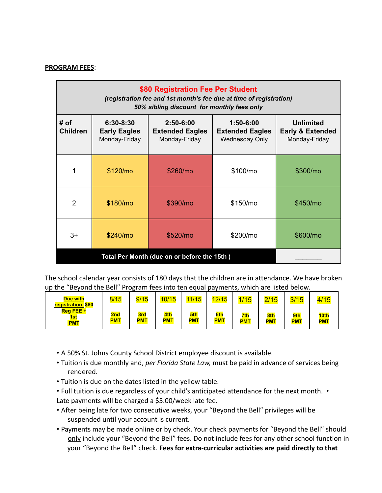#### **PROGRAM FEES**:

| \$80 Registration Fee Per Student<br>(registration fee and 1st month's fee due at time of registration)<br>50% sibling discount for monthly fees only |                                                   |                                                          |                                                                  |                                                                  |  |  |  |  |  |  |
|-------------------------------------------------------------------------------------------------------------------------------------------------------|---------------------------------------------------|----------------------------------------------------------|------------------------------------------------------------------|------------------------------------------------------------------|--|--|--|--|--|--|
| # of<br><b>Children</b>                                                                                                                               | 6:30-8:30<br><b>Early Eagles</b><br>Monday-Friday | $2:50 - 6:00$<br><b>Extended Eagles</b><br>Monday-Friday | $1:50 - 6:00$<br><b>Extended Eagles</b><br><b>Wednesday Only</b> | <b>Unlimited</b><br><b>Early &amp; Extended</b><br>Monday-Friday |  |  |  |  |  |  |
| 1                                                                                                                                                     | \$120/m <sub>o</sub>                              | \$260/mo                                                 | \$100/mo                                                         | \$300/mo                                                         |  |  |  |  |  |  |
| 2                                                                                                                                                     | \$180/mo                                          | \$390/mo                                                 | \$150/m <sub>o</sub>                                             | \$450/mo                                                         |  |  |  |  |  |  |
| $3+$                                                                                                                                                  | \$240/m <sub>o</sub>                              | \$520/mo                                                 | \$200/mo                                                         | \$600/mo                                                         |  |  |  |  |  |  |
|                                                                                                                                                       |                                                   |                                                          |                                                                  |                                                                  |  |  |  |  |  |  |

The school calendar year consists of 180 days that the children are in attendance. We have broken up the "Beyond the Bell" Program fees into ten equal payments, which are listed below.

| <b>Due with</b><br>registration. \$80   | 8/15              | 9/15              | 10/15             | 11/15             | 12/15             | 1/15              | 2/15              | 3/15              | 4/15               |
|-----------------------------------------|-------------------|-------------------|-------------------|-------------------|-------------------|-------------------|-------------------|-------------------|--------------------|
| $Reg$ FEE +<br><u>1st</u><br><b>PMT</b> | 2nd<br><b>PMT</b> | 3rd<br><b>PMT</b> | 4th<br><b>PMT</b> | 5th<br><b>PMT</b> | 6th<br><b>PMT</b> | 7th<br><b>PMT</b> | 8th<br><b>PMT</b> | 9th<br><b>PMT</b> | 10th<br><b>PMT</b> |

- A 50% St. Johns County School District employee discount is available.
- Tuition is due monthly and, *per Florida State Law,* must be paid in advance of services being rendered.
- Tuition is due on the dates listed in the yellow table.
- Full tuition is due regardless of your child's anticipated attendance for the next month. Late payments will be charged a \$5.00/week late fee.
- After being late for two consecutive weeks, your "Beyond the Bell" privileges will be suspended until your account is current.
- Payments may be made online or by check. Your check payments for "Beyond the Bell" should only include your "Beyond the Bell" fees. Do not include fees for any other school function in your "Beyond the Bell" check. **Fees for extra-curricular activities are paid directly to that**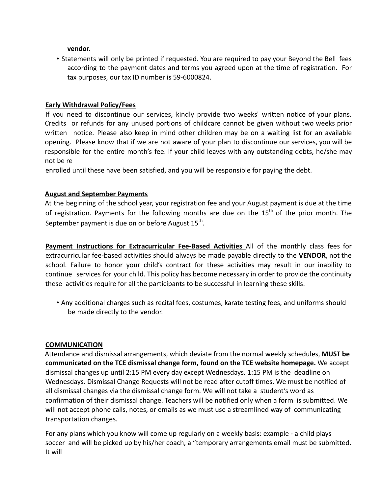**vendor.**

• Statements will only be printed if requested. You are required to pay your Beyond the Bell fees according to the payment dates and terms you agreed upon at the time of registration. For tax purposes, our tax ID number is 59-6000824.

# **Early Withdrawal Policy/Fees**

If you need to discontinue our services, kindly provide two weeks' written notice of your plans. Credits or refunds for any unused portions of childcare cannot be given without two weeks prior written notice. Please also keep in mind other children may be on a waiting list for an available opening. Please know that if we are not aware of your plan to discontinue our services, you will be responsible for the entire month's fee. If your child leaves with any outstanding debts, he/she may not be re

enrolled until these have been satisfied, and you will be responsible for paying the debt.

# **August and September Payments**

At the beginning of the school year, your registration fee and your August payment is due at the time of registration. Payments for the following months are due on the 15<sup>th</sup> of the prior month. The September payment is due on or before August  $15^{\text{th}}$ .

**Payment Instructions for Extracurricular Fee-Based Activities** All of the monthly class fees for extracurricular fee-based activities should always be made payable directly to the **VENDOR**, not the school. Failure to honor your child's contract for these activities may result in our inability to continue services for your child. This policy has become necessary in order to provide the continuity these activities require for all the participants to be successful in learning these skills.

• Any additional charges such as recital fees, costumes, karate testing fees, and uniforms should be made directly to the vendor.

# **COMMUNICATION**

Attendance and dismissal arrangements, which deviate from the normal weekly schedules, **MUST be communicated on the TCE dismissal change form, found on the TCE website homepage.** We accept dismissal changes up until 2:15 PM every day except Wednesdays. 1:15 PM is the deadline on Wednesdays. Dismissal Change Requests will not be read after cutoff times. We must be notified of all dismissal changes via the dismissal change form. We will not take a student's word as confirmation of their dismissal change. Teachers will be notified only when a form is submitted. We will not accept phone calls, notes, or emails as we must use a streamlined way of communicating transportation changes.

For any plans which you know will come up regularly on a weekly basis: example - a child plays soccer and will be picked up by his/her coach, a "temporary arrangements email must be submitted. It will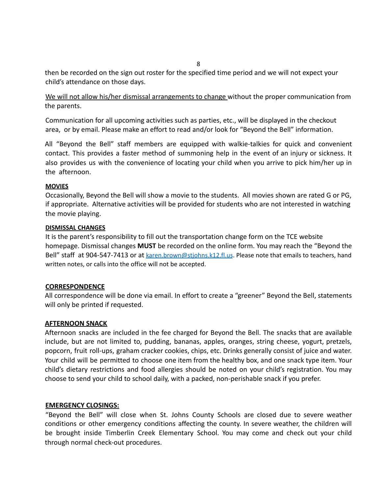8

then be recorded on the sign out roster for the specified time period and we will not expect your child's attendance on those days.

We will not allow his/her dismissal arrangements to change without the proper communication from the parents.

Communication for all upcoming activities such as parties, etc., will be displayed in the checkout area, or by email. Please make an effort to read and/or look for "Beyond the Bell" information.

All "Beyond the Bell" staff members are equipped with walkie-talkies for quick and convenient contact. This provides a faster method of summoning help in the event of an injury or sickness. It also provides us with the convenience of locating your child when you arrive to pick him/her up in the afternoon.

#### **MOVIES**

Occasionally, Beyond the Bell will show a movie to the students. All movies shown are rated G or PG, if appropriate. Alternative activities will be provided for students who are not interested in watching the movie playing.

#### **DISMISSAL CHANGES**

It is the parent's responsibility to fill out the transportation change form on the TCE website homepage. Dismissal changes **MUST** be recorded on the online form. You may reach the "Beyond the Bell" staff at 904-547-7413 or at karen.brown@stjohns.k12.fl.us. Please note that emails to teachers, hand written notes, or calls into the office will not be accepted.

# **CORRESPONDENCE**

All correspondence will be done via email. In effort to create a "greener" Beyond the Bell, statements will only be printed if requested.

# **AFTERNOON SNACK**

Afternoon snacks are included in the fee charged for Beyond the Bell. The snacks that are available include, but are not limited to, pudding, bananas, apples, oranges, string cheese, yogurt, pretzels, popcorn, fruit roll-ups, graham cracker cookies, chips, etc. Drinks generally consist of juice and water. Your child will be permitted to choose one item from the healthy box, and one snack type item. Your child's dietary restrictions and food allergies should be noted on your child's registration. You may choose to send your child to school daily, with a packed, non-perishable snack if you prefer.

# **EMERGENCY CLOSINGS:**

"Beyond the Bell" will close when St. Johns County Schools are closed due to severe weather conditions or other emergency conditions affecting the county. In severe weather, the children will be brought inside Timberlin Creek Elementary School. You may come and check out your child through normal check-out procedures.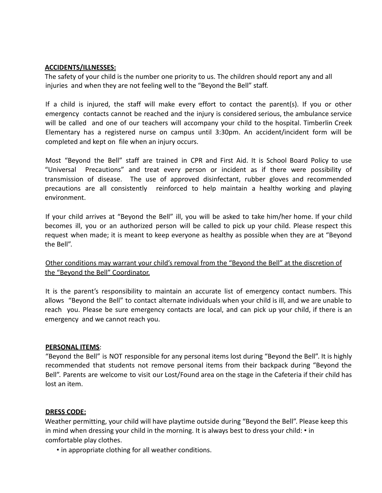# **ACCIDENTS/ILLNESSES:**

The safety of your child is the number one priority to us. The children should report any and all injuries and when they are not feeling well to the "Beyond the Bell" staff.

If a child is injured, the staff will make every effort to contact the parent(s). If you or other emergency contacts cannot be reached and the injury is considered serious, the ambulance service will be called and one of our teachers will accompany your child to the hospital. Timberlin Creek Elementary has a registered nurse on campus until 3:30pm. An accident/incident form will be completed and kept on file when an injury occurs.

Most "Beyond the Bell" staff are trained in CPR and First Aid. It is School Board Policy to use "Universal Precautions" and treat every person or incident as if there were possibility of transmission of disease. The use of approved disinfectant, rubber gloves and recommended precautions are all consistently reinforced to help maintain a healthy working and playing environment.

If your child arrives at "Beyond the Bell" ill, you will be asked to take him/her home. If your child becomes ill, you or an authorized person will be called to pick up your child. Please respect this request when made; it is meant to keep everyone as healthy as possible when they are at "Beyond the Bell".

# Other conditions may warrant your child's removal from the "Beyond the Bell" at the discretion of the "Beyond the Bell" Coordinator.

It is the parent's responsibility to maintain an accurate list of emergency contact numbers. This allows "Beyond the Bell" to contact alternate individuals when your child is ill, and we are unable to reach you. Please be sure emergency contacts are local, and can pick up your child, if there is an emergency and we cannot reach you.

# **PERSONAL ITEMS**:

"Beyond the Bell" is NOT responsible for any personal items lost during "Beyond the Bell". It is highly recommended that students not remove personal items from their backpack during "Beyond the Bell". Parents are welcome to visit our Lost/Found area on the stage in the Cafeteria if their child has lost an item.

# **DRESS CODE:**

Weather permitting, your child will have playtime outside during "Beyond the Bell". Please keep this in mind when dressing your child in the morning. It is always best to dress your child: • in comfortable play clothes.

• in appropriate clothing for all weather conditions.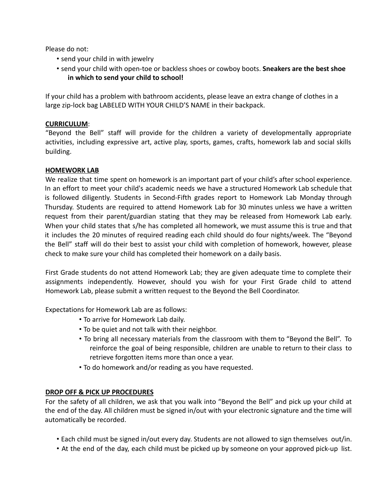Please do not:

- send your child in with jewelry
- send your child with open-toe or backless shoes or cowboy boots. **Sneakers are the best shoe in which to send your child to school!**

If your child has a problem with bathroom accidents, please leave an extra change of clothes in a large zip-lock bag LABELED WITH YOUR CHILD'S NAME in their backpack.

# **CURRICULUM**:

"Beyond the Bell" staff will provide for the children a variety of developmentally appropriate activities, including expressive art, active play, sports, games, crafts, homework lab and social skills building.

# **HOMEWORK LAB**

We realize that time spent on homework is an important part of your child's after school experience. In an effort to meet your child's academic needs we have a structured Homework Lab schedule that is followed diligently. Students in Second-Fifth grades report to Homework Lab Monday through Thursday. Students are required to attend Homework Lab for 30 minutes unless we have a written request from their parent/guardian stating that they may be released from Homework Lab early. When your child states that s/he has completed all homework, we must assume this is true and that it includes the 20 minutes of required reading each child should do four nights/week. The "Beyond the Bell" staff will do their best to assist your child with completion of homework, however, please check to make sure your child has completed their homework on a daily basis.

First Grade students do not attend Homework Lab; they are given adequate time to complete their assignments independently. However, should you wish for your First Grade child to attend Homework Lab, please submit a written request to the Beyond the Bell Coordinator.

Expectations for Homework Lab are as follows:

- To arrive for Homework Lab daily.
- To be quiet and not talk with their neighbor.
- To bring all necessary materials from the classroom with them to "Beyond the Bell". To reinforce the goal of being responsible, children are unable to return to their class to retrieve forgotten items more than once a year.
- To do homework and/or reading as you have requested.

# **DROP OFF & PICK UP PROCEDURES**

For the safety of all children, we ask that you walk into "Beyond the Bell" and pick up your child at the end of the day. All children must be signed in/out with your electronic signature and the time will automatically be recorded.

- Each child must be signed in/out every day. Students are not allowed to sign themselves out/in.
- At the end of the day, each child must be picked up by someone on your approved pick-up list.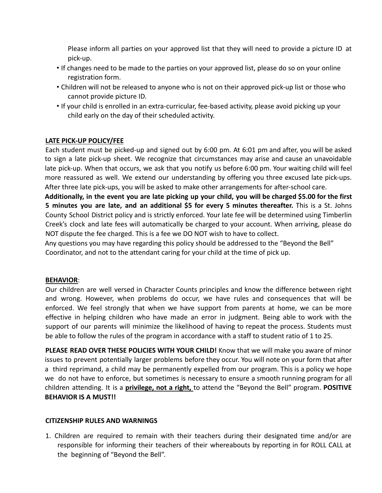Please inform all parties on your approved list that they will need to provide a picture ID at pick-up.

- If changes need to be made to the parties on your approved list, please do so on your online registration form.
- Children will not be released to anyone who is not on their approved pick-up list or those who cannot provide picture ID.
- If your child is enrolled in an extra-curricular, fee-based activity, please avoid picking up your child early on the day of their scheduled activity.

# **LATE PICK-UP POLICY/FEE**

Each student must be picked-up and signed out by 6:00 pm. At 6:01 pm and after, you will be asked to sign a late pick-up sheet. We recognize that circumstances may arise and cause an unavoidable late pick-up. When that occurs, we ask that you notify us before 6:00 pm. Your waiting child will feel more reassured as well. We extend our understanding by offering you three excused late pick-ups. After three late pick-ups, you will be asked to make other arrangements for after-school care.

Additionally, in the event you are late picking up your child, you will be charged \$5.00 for the first **5 minutes you are late, and an additional \$5 for every 5 minutes thereafter.** This is a St. Johns County School District policy and is strictly enforced. Your late fee will be determined using Timberlin Creek's clock and late fees will automatically be charged to your account. When arriving, please do NOT dispute the fee charged. This is a fee we DO NOT wish to have to collect.

Any questions you may have regarding this policy should be addressed to the "Beyond the Bell" Coordinator, and not to the attendant caring for your child at the time of pick up.

# **BEHAVIOR**:

Our children are well versed in Character Counts principles and know the difference between right and wrong. However, when problems do occur, we have rules and consequences that will be enforced. We feel strongly that when we have support from parents at home, we can be more effective in helping children who have made an error in judgment. Being able to work with the support of our parents will minimize the likelihood of having to repeat the process. Students must be able to follow the rules of the program in accordance with a staff to student ratio of 1 to 25.

**PLEASE READ OVER THESE POLICIES WITH YOUR CHILD!** Know that we will make you aware of minor issues to prevent potentially larger problems before they occur. You will note on your form that after a third reprimand, a child may be permanently expelled from our program. This is a policy we hope we do not have to enforce, but sometimes is necessary to ensure a smooth running program for all children attending. It is a **privilege, not a right,** to attend the "Beyond the Bell" program. **POSITIVE BEHAVIOR IS A MUST!!**

#### **CITIZENSHIP RULES AND WARNINGS**

1. Children are required to remain with their teachers during their designated time and/or are responsible for informing their teachers of their whereabouts by reporting in for ROLL CALL at the beginning of "Beyond the Bell".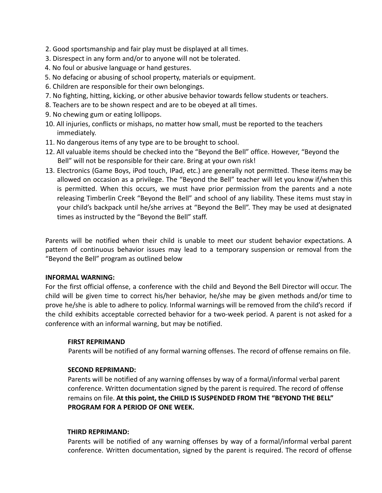- 2. Good sportsmanship and fair play must be displayed at all times.
- 3. Disrespect in any form and/or to anyone will not be tolerated.
- 4. No foul or abusive language or hand gestures.
- 5. No defacing or abusing of school property, materials or equipment.
- 6. Children are responsible for their own belongings.
- 7. No fighting, hitting, kicking, or other abusive behavior towards fellow students or teachers.
- 8. Teachers are to be shown respect and are to be obeyed at all times.
- 9. No chewing gum or eating lollipops.
- 10. All injuries, conflicts or mishaps, no matter how small, must be reported to the teachers immediately.
- 11. No dangerous items of any type are to be brought to school.
- 12. All valuable items should be checked into the "Beyond the Bell" office. However, "Beyond the Bell" will not be responsible for their care. Bring at your own risk!
- 13. Electronics (Game Boys, iPod touch, IPad, etc.) are generally not permitted. These items may be allowed on occasion as a privilege. The "Beyond the Bell" teacher will let you know if/when this is permitted. When this occurs, we must have prior permission from the parents and a note releasing Timberlin Creek "Beyond the Bell" and school of any liability. These items must stay in your child's backpack until he/she arrives at "Beyond the Bell". They may be used at designated times as instructed by the "Beyond the Bell" staff.

Parents will be notified when their child is unable to meet our student behavior expectations. A pattern of continuous behavior issues may lead to a temporary suspension or removal from the "Beyond the Bell" program as outlined below

# **INFORMAL WARNING:**

For the first official offense, a conference with the child and Beyond the Bell Director will occur. The child will be given time to correct his/her behavior, he/she may be given methods and/or time to prove he/she is able to adhere to policy. Informal warnings will be removed from the child's record if the child exhibits acceptable corrected behavior for a two-week period. A parent is not asked for a conference with an informal warning, but may be notified.

# **FIRST REPRIMAND**

Parents will be notified of any formal warning offenses. The record of offense remains on file.

# **SECOND REPRIMAND:**

Parents will be notified of any warning offenses by way of a formal/informal verbal parent conference. Written documentation signed by the parent is required. The record of offense remains on file. **At this point, the CHILD IS SUSPENDED FROM THE "BEYOND THE BELL" PROGRAM FOR A PERIOD OF ONE WEEK.**

#### **THIRD REPRIMAND:**

Parents will be notified of any warning offenses by way of a formal/informal verbal parent conference. Written documentation, signed by the parent is required. The record of offense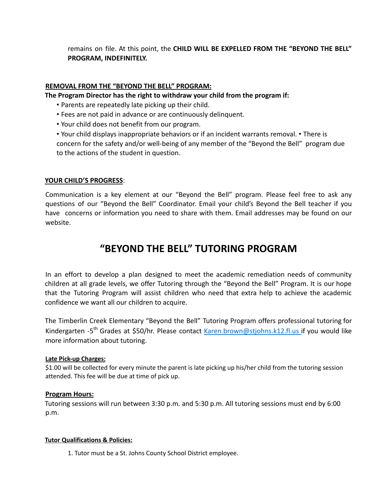remains on file. At this point, the **CHILD WILL BE EXPELLED FROM THE "BEYOND THE BELL" PROGRAM, INDEFINITELY.**

# **REMOVAL FROM THE "BEYOND THE BELL" PROGRAM:**

**The Program Director has the right to withdraw your child from the program if:**

- Parents are repeatedly late picking up their child.
- Fees are not paid in advance or are continuously delinquent.
- Your child does not benefit from our program.
- Your child displays inappropriate behaviors or if an incident warrants removal. There is concern for the safety and/or well-being of any member of the "Beyond the Bell" program due to the actions of the student in question.

# **YOUR CHILD'S PROGRESS**:

Communication is a key element at our "Beyond the Bell" program. Please feel free to ask any questions of our "Beyond the Bell" Coordinator. Email your child's Beyond the Bell teacher if you have concerns or information you need to share with them. Email addresses may be found on our website.

# **"BEYOND THE BELL" TUTORING PROGRAM**

In an effort to develop a plan designed to meet the academic remediation needs of community children at all grade levels, we offer Tutoring through the "Beyond the Bell" Program. It is our hope that the Tutoring Program will assist children who need that extra help to achieve the academic confidence we want all our children to acquire.

The Timberlin Creek Elementary "Beyond the Bell" Tutoring Program offers professional tutoring for Kindergarten -5<sup>th</sup> Grades at \$50/hr. Please contact Karen.brown@stjohns.k12.fl.us if you would like more information about tutoring.

#### **Late Pick-up Charges:**

\$1.00 will be collected for every minute the parent is late picking up his/her child from the tutoring session attended. This fee will be due at time of pick up.

# **Program Hours:**

Tutoring sessions will run between 3:30 p.m. and 5:30 p.m. All tutoring sessions must end by 6:00 p.m.

#### **Tutor Qualifications & Policies:**

1. Tutor must be a St. Johns County School District employee.